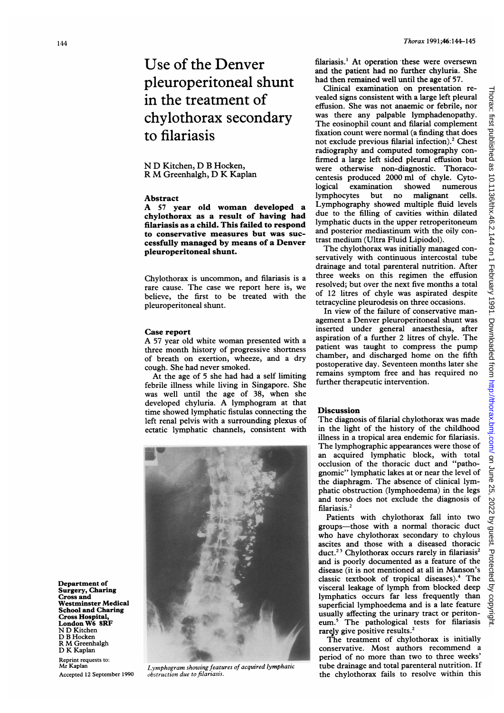Department of Surgery, Charing Cross and Westminster Medical School and Charing Cross Hospital, London W6 8RF N D Kitchen D B Hocken R M Greenhalgh D K Kaplan Reprint requests to: Mr Kaplan Accepted 12 September 1990

Use of the Denver pleuroperitoneal shunt in the treatment of chylothorax secondary to filariasis

## N D Kitchen, D B Hocken, <sup>R</sup> M Greenhalgh, D K Kaplan

## Abstract

A <sup>57</sup> year old woman developed <sup>a</sup> chylothorax as a result of having had filariasis as a child. This failed to respond to conservative measures but was successfully managed by means of a Denver pleuroperitoneal shunt.

Chylothorax is uncommon, and filariasis is a rare cause. The case we report here is, we believe, the first to be treated with the pleuroperitoneal shunt.

#### Case report

A <sup>57</sup> year old white woman presented with <sup>a</sup> three month history of progressive shortness of breath on exertion, wheeze, and a dry cough. She had never smoked.

At the age of 5 she had had a self limiting febrile illness while living in Singapore. She was well until the age of 38, when she developed chyluria. A lymphogram at that time showed lymphatic fistulas connecting the left renal pelvis with a surrounding plexus of ectatic lymphatic channels, consistent with



Lymphogram showing features of acquired lymphatic obstruction due to filariasis.

Thorax:

filariasis.' At operation these were oversewn and the patient had no further chyluria. She had then remained well until the age of 57.

Clinical examination on presentation revealed signs consistent with a large left pleural effusion. She was not anaemic or febrile, nor was there any palpable lymphadenopathy. The eosinophil count and filarial complement fixation count were normal (a finding that does not exclude previous filarial infection).<sup>2</sup> Chest radiography and computed tomography confirmed a large left sided pleural effusion but were otherwise non-diagnostic. Thoracocentesis produced 2000 ml of chyle. Cytological examination showed numerous lymphocytes but no malignant cells. Lymphography showed multiple fluid levels due to the filling of cavities within dilated lymphatic ducts in the upper retroperitoneum and posterior mediastinum with the oily contrast medium (Ultra Fluid Lipiodol).

The chylothorax was initially managed conservatively with continuous intercostal tube drainage and total parenteral nutrition. After three weeks on this regimen the effusion resolved; but over the next five months a total of 12 litres of chyle was aspirated despite tetracycline pleurodesis on three occasions.

In view of the failure of conservative management a Denver pleuroperitoneal shunt was inserted under general anaesthesia, after aspiration of <sup>a</sup> further 2 litres of chyle. The patient was taught to compress the pump chamber, and discharged home on the fifth postoperative day. Seventeen months later she remains symptom free and has required no further therapeutic intervention.

#### Discussion

The diagnosis of filarial chylothorax was made in the light of the history of the childhood illness in a tropical area endemic for filariasis. The lymphographic appearances were those of an acquired lymphatic block, with total occlusion of the thoracic duct and "pathognomic" lymphatic lakes at or near the level of the diaphragm. The absence of clinical lymphatic obstruction (lymphoedema) in the legs and torso does not exclude the diagnosis of filariasis.<sup>2</sup>

Patients with chylothorax fall into two groups-those with a normal thoracic duct who have chylothorax secondary to chylous ascites and those with a diseased thoracic duct.<sup>23</sup> Chylothorax occurs rarely in filariasis<sup>2</sup> and is poorly documented as a feature of the disease (it is not mentioned at all in Manson's classic textbook of tropical diseases).4 The visceral leakage of lymph from blocked deep lymphatics occurs far less frequently than superficial lymphoedema and is a late feature usually affecting the urinary tract or peritoneum.5 The pathological tests for filariasis rarely give positive results.<sup>2</sup>

The treatment of chylothorax is initially conservative. Most authors recommend a period of no more than two to three weeks' tube drainage and total parenteral nutrition. If the chylothorax fails to resolve within this